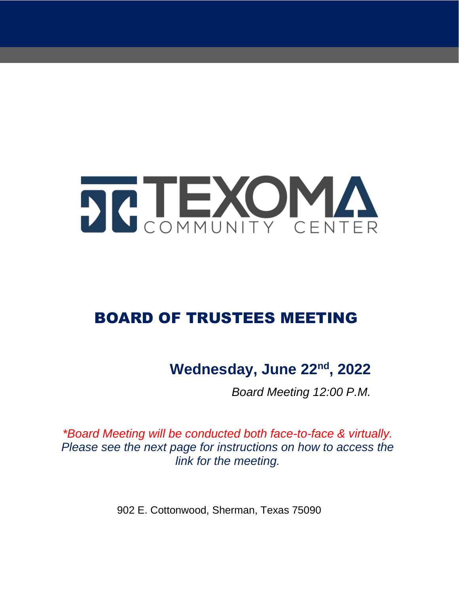

## BOARD OF TRUSTEES MEETING

### Wednesday, June 22<sup>nd</sup>, 2022

*Board Meeting 12:00 P.M.*

*\*Board Meeting will be conducted both face-to-face & virtually. Please see the next page for instructions on how to access the link for the meeting.*

902 E. Cottonwood, Sherman, Texas 75090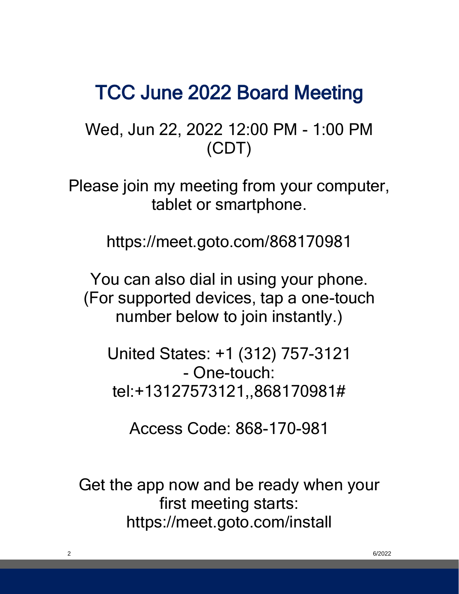## TCC June 2022 Board Meeting

Wed, Jun 22, 2022 12:00 PM - 1:00 PM (CDT)

Please join my meeting from your computer, tablet or smartphone.

https://meet.goto.com/868170981

You can also dial in using your phone. (For supported devices, tap a one-touch number below to join instantly.)

United States: +1 (312) 757-3121 - One-touch: tel:+13127573121,,868170981#

Access Code: 868-170-981

Get the app now and be ready when your first meeting starts: https://meet.goto.com/install